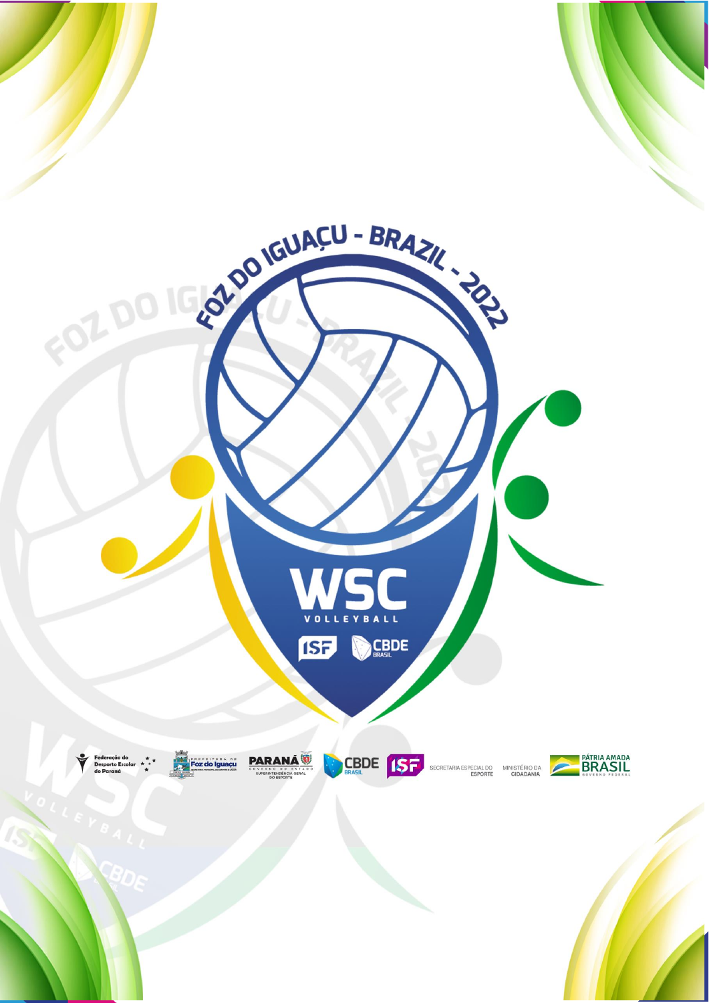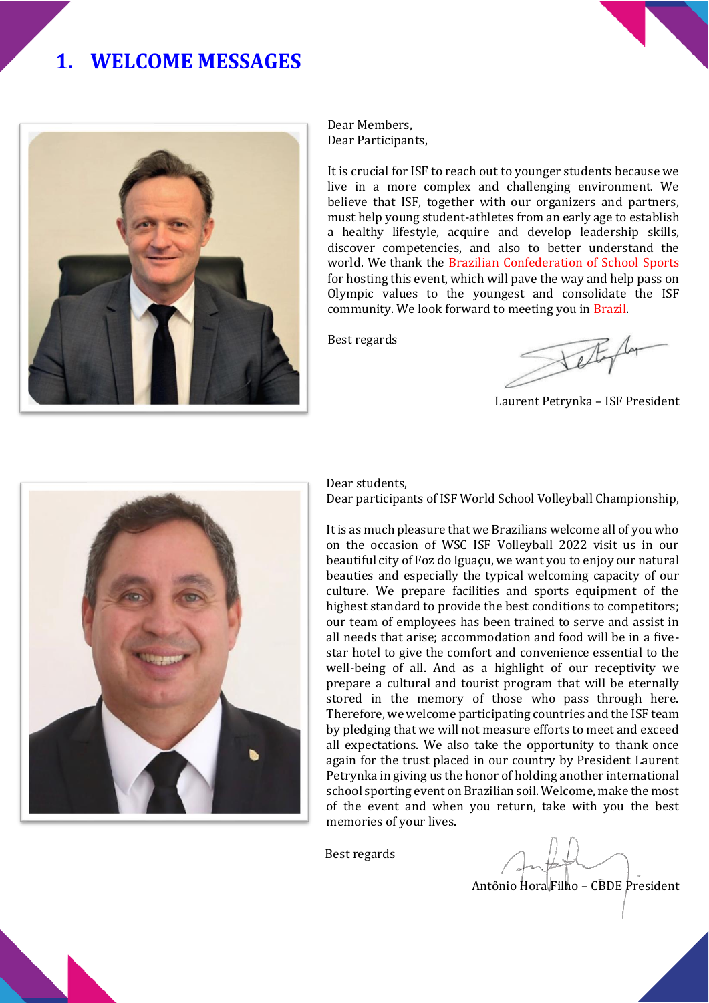# **1. WELCOME MESSAGES**



Dear Members, Dear Participants,

It is crucial for ISF to reach out to younger students because we live in a more complex and challenging environment. We believe that ISF, together with our organizers and partners, must help young student-athletes from an early age to establish a healthy lifestyle, acquire and develop leadership skills, discover competencies, and also to better understand the world. We thank the Brazilian Confederation of School Sports for hosting this event, which will pave the way and help pass on Olympic values to the youngest and consolidate the ISF community. We look forward to meeting you in Brazil.

Best regards

Laurent Petrynka – ISF President



Dear students,

Dear participants of ISF World School Volleyball Championship,

It is as much pleasure that we Brazilians welcome all of you who on the occasion of WSC ISF Volleyball 2022 visit us in our beautiful city of Foz do Iguaçu, we want you to enjoy our natural beauties and especially the typical welcoming capacity of our culture. We prepare facilities and sports equipment of the highest standard to provide the best conditions to competitors; our team of employees has been trained to serve and assist in all needs that arise; accommodation and food will be in a fivestar hotel to give the comfort and convenience essential to the well-being of all. And as a highlight of our receptivity we prepare a cultural and tourist program that will be eternally stored in the memory of those who pass through here. Therefore, we welcome participating countries and the ISF team by pledging that we will not measure efforts to meet and exceed all expectations. We also take the opportunity to thank once again for the trust placed in our country by President Laurent Petrynka in giving us the honor of holding another international school sporting event on Brazilian soil. Welcome, make the most of the event and when you return, take with you the best memories of your lives.

Best regards

Antônio Hora Filho – CBDE President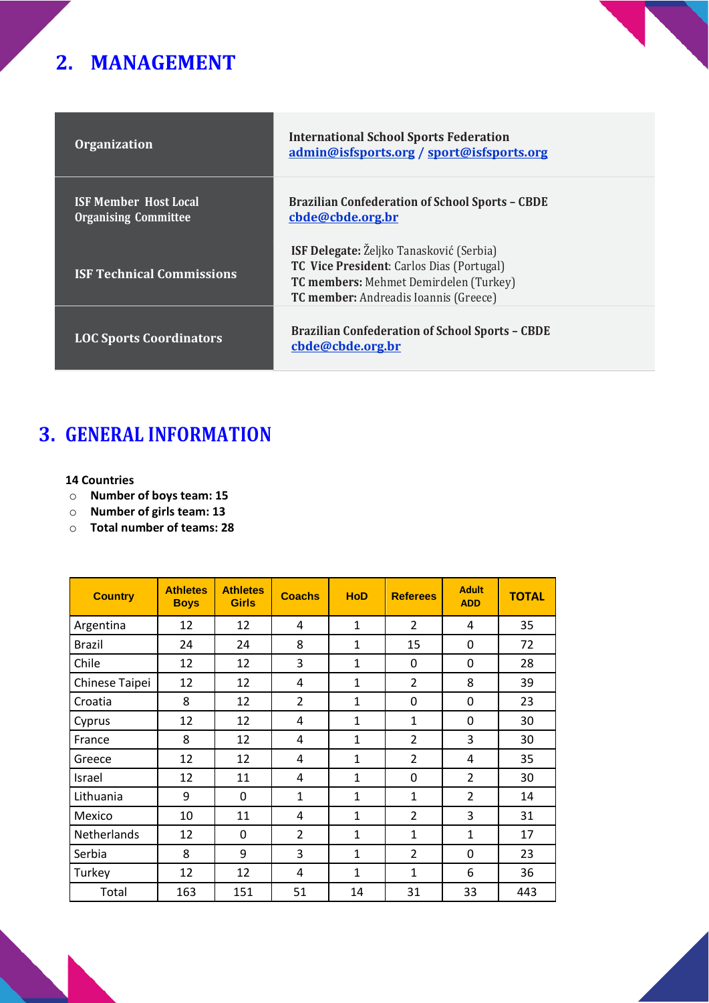# **2. MANAGEMENT**

| <b>Organization</b>                                         | <b>International School Sports Federation</b><br>admin@isfsports.org / sport@isfsports.org                                                                                      |
|-------------------------------------------------------------|---------------------------------------------------------------------------------------------------------------------------------------------------------------------------------|
| <b>ISF Member Host Local</b><br><b>Organising Committee</b> | <b>Brazilian Confederation of School Sports - CBDE</b><br>cbde@cbde.org.br                                                                                                      |
| <b>ISF Technical Commissions</b>                            | <b>ISF Delegate:</b> Željko Tanasković (Serbia)<br>TC Vice President: Carlos Dias (Portugal)<br>TC members: Mehmet Demirdelen (Turkey)<br>TC member: Andreadis Ioannis (Greece) |
| <b>LOC Sports Coordinators</b>                              | <b>Brazilian Confederation of School Sports - CBDE</b><br>cbde@cbde.org.br                                                                                                      |

# **3. GENERAL INFORMATION**

#### **14 Countries**

- o **Number of boys team: 15**
- o **Number of girls team: 13**
- o **Total number of teams: 28**

| <b>Country</b> | <b>Athletes</b><br><b>Boys</b> | <b>Athletes</b><br><b>Girls</b> | <b>Coachs</b>  | <b>HoD</b>   | <b>Referees</b> | <b>Adult</b><br><b>ADD</b> | <b>TOTAL</b> |
|----------------|--------------------------------|---------------------------------|----------------|--------------|-----------------|----------------------------|--------------|
| Argentina      | 12                             | 12                              | 4              | $\mathbf{1}$ | $\overline{2}$  | 4                          | 35           |
| <b>Brazil</b>  | 24                             | 24                              | 8              | $\mathbf{1}$ | 15              | 0                          | 72           |
| Chile          | 12                             | 12                              | 3              | $\mathbf{1}$ | $\mathbf{0}$    | 0                          | 28           |
| Chinese Taipei | 12                             | 12                              | 4              | 1            | $\overline{2}$  | 8                          | 39           |
| Croatia        | 8                              | 12                              | $\overline{2}$ | $\mathbf{1}$ | 0               | 0                          | 23           |
| Cyprus         | 12                             | 12                              | 4              | 1            | 1               | 0                          | 30           |
| France         | 8                              | 12                              | 4              | $\mathbf{1}$ | $\overline{2}$  | 3                          | 30           |
| Greece         | 12                             | 12                              | 4              | $\mathbf{1}$ | $\overline{2}$  | 4                          | 35           |
| Israel         | 12                             | 11                              | 4              | $\mathbf{1}$ | 0               | $\overline{2}$             | 30           |
| Lithuania      | 9                              | 0                               | $\mathbf{1}$   | $\mathbf{1}$ | $\mathbf{1}$    | $\overline{2}$             | 14           |
| Mexico         | 10                             | 11                              | 4              | $\mathbf{1}$ | $\overline{2}$  | 3                          | 31           |
| Netherlands    | 12                             | 0                               | $\overline{2}$ | $\mathbf{1}$ | 1               | $\mathbf{1}$               | 17           |
| Serbia         | 8                              | 9                               | 3              | $\mathbf{1}$ | $\overline{2}$  | 0                          | 23           |
| Turkey         | 12                             | 12                              | 4              | $\mathbf{1}$ | $\mathbf{1}$    | 6                          | 36           |
| Total          | 163                            | 151                             | 51             | 14           | 31              | 33                         | 443          |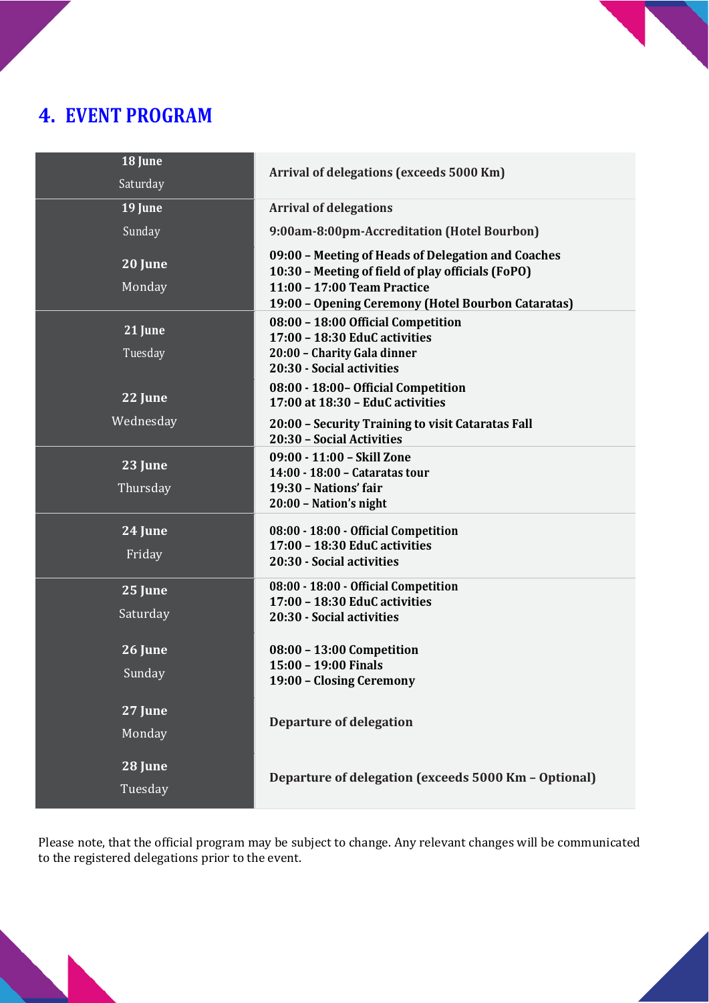# **4. EVENT PROGRAM**

| 18 June           | Arrival of delegations (exceeds 5000 Km)                                                                                               |
|-------------------|----------------------------------------------------------------------------------------------------------------------------------------|
| Saturday          |                                                                                                                                        |
| 19 June           | <b>Arrival of delegations</b>                                                                                                          |
| Sunday            | 9:00am-8:00pm-Accreditation (Hotel Bourbon)                                                                                            |
| 20 June<br>Monday | 09:00 - Meeting of Heads of Delegation and Coaches<br>10:30 - Meeting of field of play officials (FoPO)<br>11:00 - 17:00 Team Practice |
|                   | 19:00 - Opening Ceremony (Hotel Bourbon Cataratas)                                                                                     |
| 21 June           | 08:00 - 18:00 Official Competition<br>17:00 - 18:30 EduC activities                                                                    |
| Tuesday           | 20:00 - Charity Gala dinner<br>20:30 - Social activities                                                                               |
| 22 June           | 08:00 - 18:00 - Official Competition<br>17:00 at 18:30 - EduC activities                                                               |
| Wednesday         | 20:00 - Security Training to visit Cataratas Fall<br>20:30 - Social Activities                                                         |
| 23 June           | 09:00 - 11:00 - Skill Zone<br>14:00 - 18:00 - Cataratas tour                                                                           |
| Thursday          | 19:30 - Nations' fair<br>20:00 - Nation's night                                                                                        |
| 24 June           | 08:00 - 18:00 - Official Competition<br>17:00 - 18:30 EduC activities                                                                  |
| Friday            | 20:30 - Social activities                                                                                                              |
| 25 June           | 08:00 - 18:00 - Official Competition<br>17:00 - 18:30 EduC activities                                                                  |
| Saturday          | 20:30 - Social activities                                                                                                              |
| 26 June           | 08:00 - 13:00 Competition                                                                                                              |
| Sunday            | 15:00 - 19:00 Finals<br>19:00 - Closing Ceremony                                                                                       |
| 27 June           |                                                                                                                                        |
| Monday            | <b>Departure of delegation</b>                                                                                                         |
| 28 June           | Departure of delegation (exceeds 5000 Km - Optional)                                                                                   |
| Tuesday           |                                                                                                                                        |

Please note, that the official program may be subject to change. Any relevant changes will be communicated to the registered delegations prior to the event.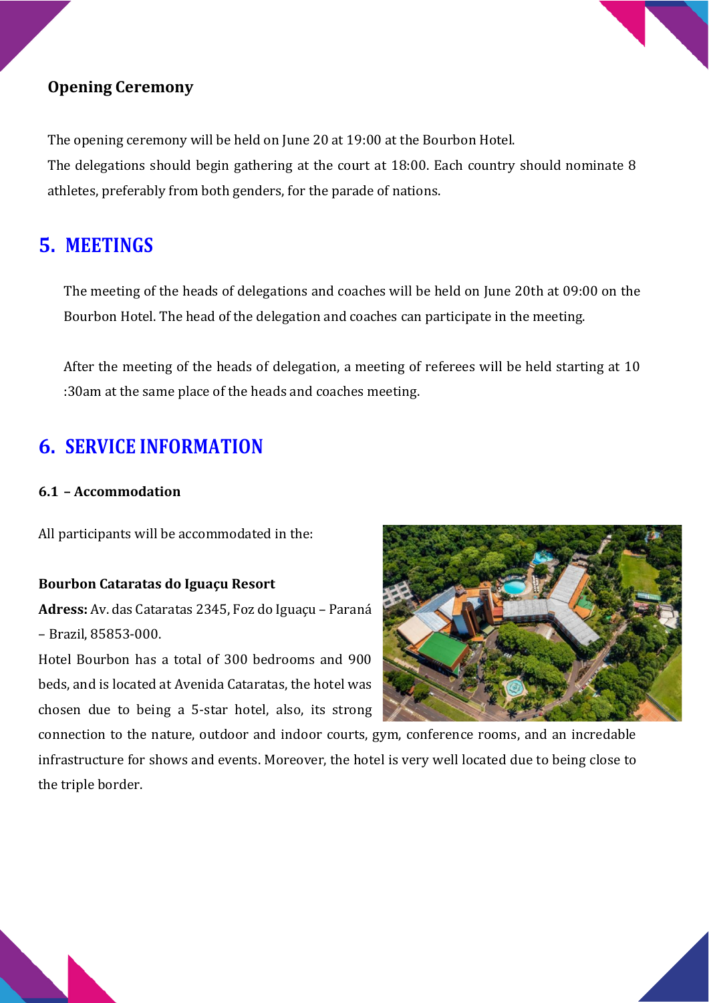

### **Opening Ceremony**

The opening ceremony will be held on June 20 at 19:00 at the Bourbon Hotel. The delegations should begin gathering at the court at 18:00. Each country should nominate 8 athletes, preferably from both genders, for the parade of nations.

### **5. MEETINGS**

The meeting of the heads of delegations and coaches will be held on June 20th at 09:00 on the Bourbon Hotel. The head of the delegation and coaches can participate in the meeting.

After the meeting of the heads of delegation, a meeting of referees will be held starting at 10 :30am at the same place of the heads and coaches meeting.

## **6. SERVICE INFORMATION**

#### **6.1 – Accommodation**

All participants will be accommodated in the:

#### **Bourbon Cataratas do Iguaçu Resort**

**Adress:** Av. das Cataratas 2345, Foz do Iguaçu – Paraná – Brazil, 85853-000.

Hotel Bourbon has a total of 300 bedrooms and 900 beds, and is located at Avenida Cataratas, the hotel was chosen due to being a 5-star hotel, also, its strong



connection to the nature, outdoor and indoor courts, gym, conference rooms, and an incredable infrastructure for shows and events. Moreover, the hotel is very well located due to being close to the triple border.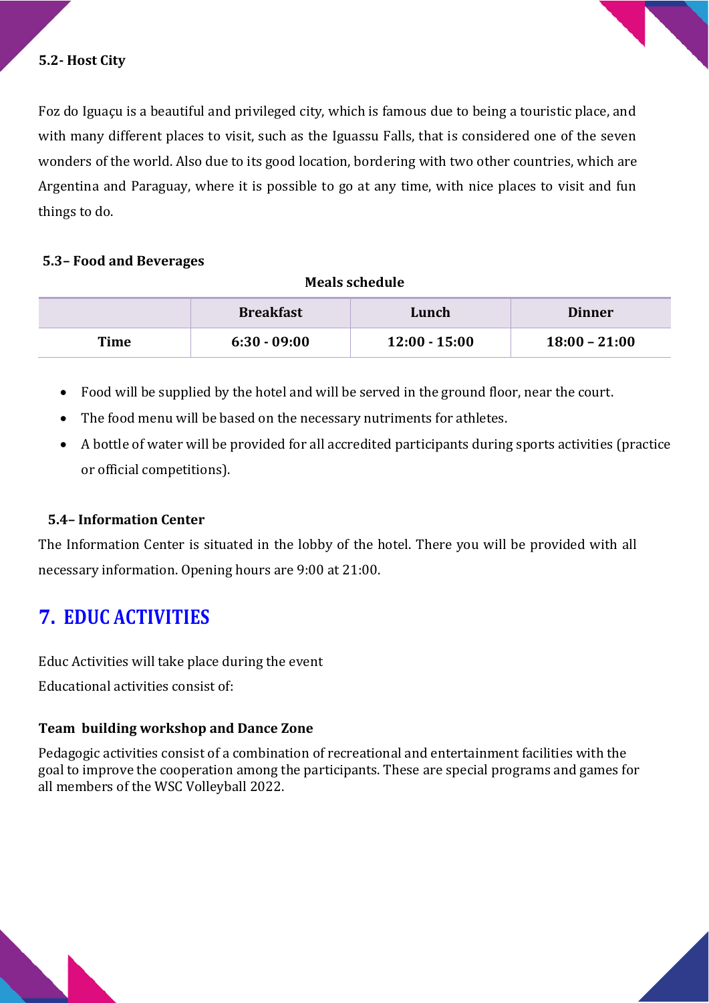

#### **5.2- Host City**

Foz do Iguaçu is a beautiful and privileged city, which is famous due to being a touristic place, and with many different places to visit, such as the Iguassu Falls, that is considered one of the seven wonders of the world. Also due to its good location, bordering with two other countries, which are Argentina and Paraguay, where it is possible to go at any time, with nice places to visit and fun things to do.

#### **5.3– Food and Beverages**

#### **Meals schedule**

|      | <b>Breakfast</b> | Lunch           | <b>Dinner</b>   |
|------|------------------|-----------------|-----------------|
| Time | $6:30 - 09:00$   | $12:00 - 15:00$ | $18:00 - 21:00$ |

- Food will be supplied by the hotel and will be served in the ground floor, near the court.
- The food menu will be based on the necessary nutriments for athletes.
- A bottle of water will be provided for all accredited participants during sports activities (practice or official competitions).

#### **5.4– Information Center**

The Information Center is situated in the lobby of the hotel. There you will be provided with all necessary information. Opening hours are 9:00 at 21:00.

### **7. EDUC ACTIVITIES**

Educ Activities will take place during the event Educational activities consist of:

#### **Team building workshop and Dance Zone**

Pedagogic activities consist of a combination of recreational and entertainment facilities with the goal to improve the cooperation among the participants. These are special programs and games for all members of the WSC Volleyball 2022.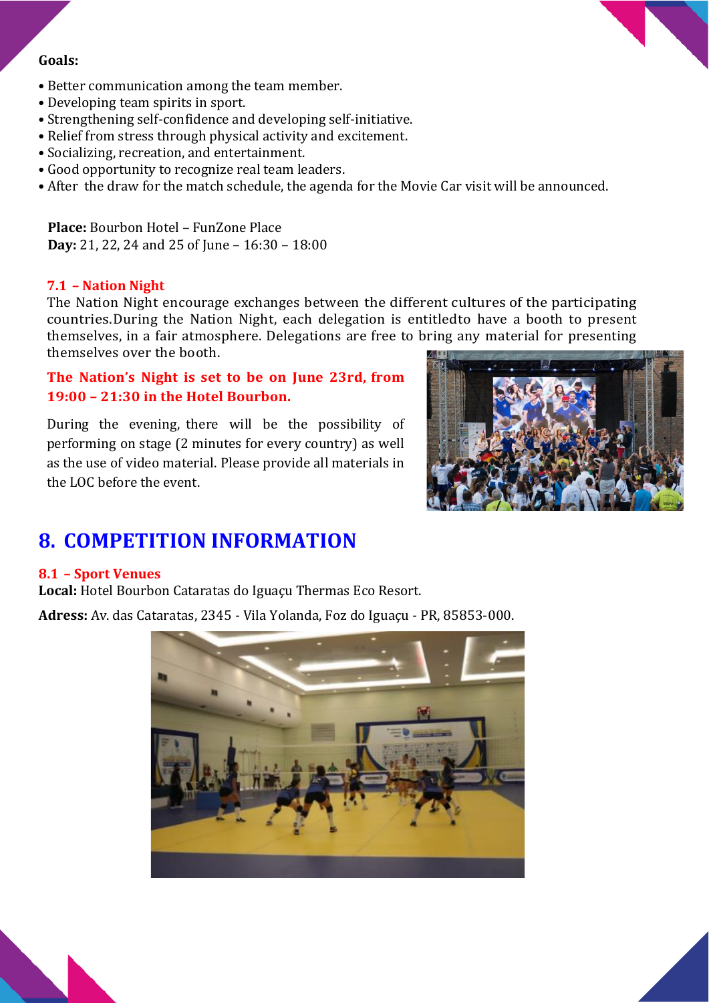#### **Goals:**

- Better communication among the team member.
- Developing team spirits in sport.
- Strengthening self-confidence and developing self-initiative.
- Relief from stress through physical activity and excitement.
- Socializing, recreation, and entertainment.
- Good opportunity to recognize real team leaders.
- After the draw for the match schedule, the agenda for the Movie Car visit will be announced.

**Place:** Bourbon Hotel – FunZone Place **Day:** 21, 22, 24 and 25 of June – 16:30 – 18:00

#### **7.1 – Nation Night**

The Nation Night encourage exchanges between the different cultures of the participating countries.During the Nation Night, each delegation is entitledto have a booth to present themselves, in a fair atmosphere. Delegations are free to bring any material for presenting themselves over the booth.

#### **The Nation's Night is set to be on June 23rd, from 19:00 – 21:30 in the Hotel Bourbon.**

During the evening, there will be the possibility of performing on stage (2 minutes for every country) as well as the use of video material. Please provide all materials in the LOC before the event.



### **8. COMPETITION INFORMATION**

#### **8.1 – Sport Venues**

**Local:** Hotel Bourbon Cataratas do Iguaçu Thermas Eco Resort.

**Adress:** Av. das Cataratas, 2345 - Vila Yolanda, Foz do Iguaçu - PR, 85853-000.



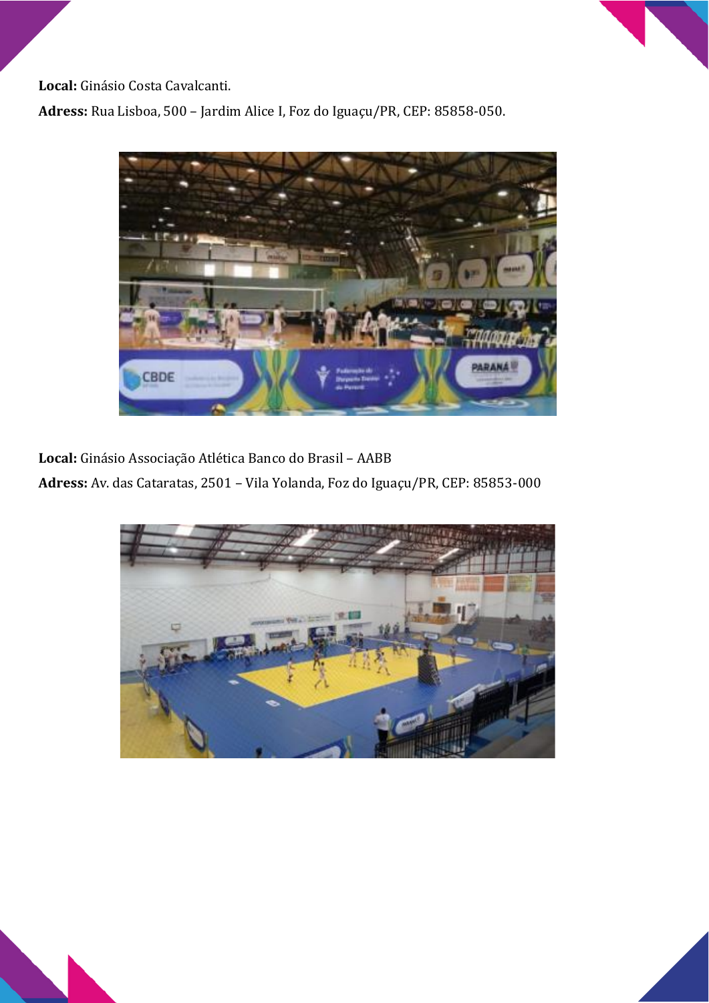**Local:** Ginásio Costa Cavalcanti.

**Adress:** Rua Lisboa, 500 – Jardim Alice I, Foz do Iguaçu/PR, CEP: 85858-050.



**Local:** Ginásio Associação Atlética Banco do Brasil – AABB **Adress:** Av. das Cataratas, 2501 – Vila Yolanda, Foz do Iguaçu/PR, CEP: 85853-000

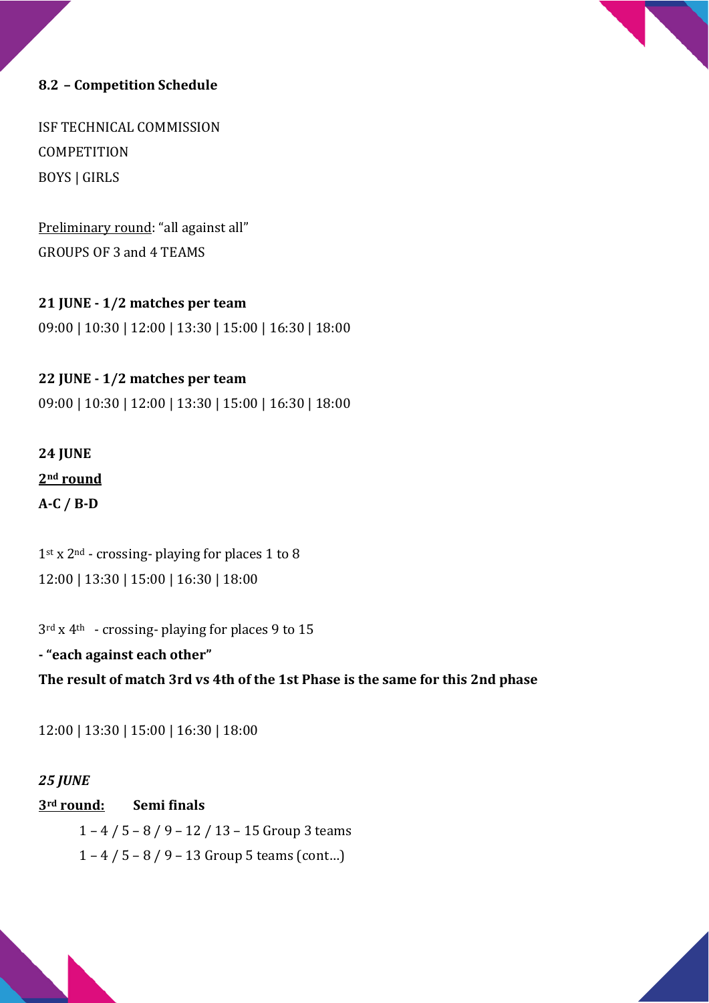#### **8.2 – Competition Schedule**

ISF TECHNICAL COMMISSION **COMPETITION** BOYS | GIRLS

Preliminary round: "all against all" GROUPS OF 3 and 4 TEAMS

#### **21 JUNE - 1/2 matches per team**

09:00 | 10:30 | 12:00 | 13:30 | 15:00 | 16:30 | 18:00

#### **22 JUNE - 1/2 matches per team**

09:00 | 10:30 | 12:00 | 13:30 | 15:00 | 16:30 | 18:00

### **24 JUNE 2nd round A-C / B-D**

 $1<sup>st</sup> x 2<sup>nd</sup>$  - crossing- playing for places 1 to 8 12:00 | 13:30 | 15:00 | 16:30 | 18:00

3rd x 4th - crossing- playing for places 9 to 15

**- "each against each other" The result of match 3rd vs 4th of the 1st Phase is the same for this 2nd phase** 

12:00 | 13:30 | 15:00 | 16:30 | 18:00

#### *25 JUNE*

#### **3rd round: Semi finals**

 1 – 4 / 5 – 8 / 9 – 12 / 13 – 15 Group 3 teams 1 – 4 / 5 – 8 / 9 – 13 Group 5 teams (cont...)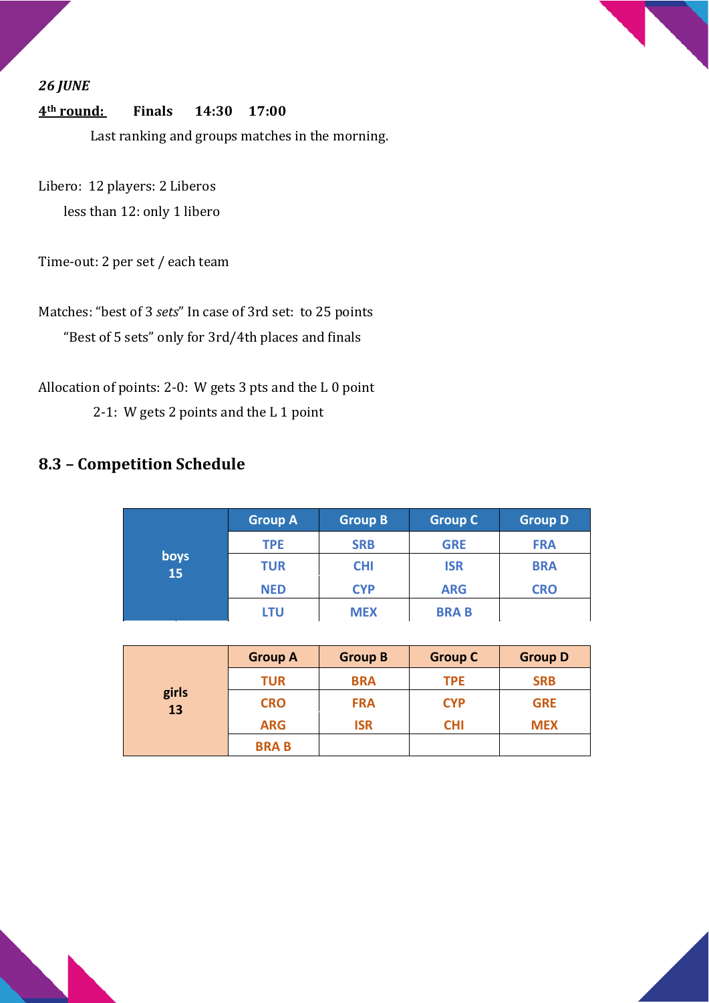#### *26 JUNE*

#### **4th round: Finals 14:30 17:00**

Last ranking and groups matches in the morning.

Libero: 12 players: 2 Liberos less than 12: only 1 libero

Time-out: 2 per set / each team

Matches: "best of 3 *sets*" In case of 3rd set: to 25 points "Best of 5 sets" only for 3rd/4th places and finals

Allocation of points: 2-0: W gets 3 pts and the L 0 point 2-1: W gets 2 points and the L 1 point

### **8.3 – Competition Schedule**

|            | <b>Group A</b> | <b>Group B</b> | <b>Group C</b> | <b>Group D</b> |
|------------|----------------|----------------|----------------|----------------|
|            | <b>TPE</b>     | <b>SRB</b>     | <b>GRE</b>     | <b>FRA</b>     |
| boys<br>15 | <b>TUR</b>     | <b>CHI</b>     | <b>ISR</b>     | <b>BRA</b>     |
|            | <b>NED</b>     | <b>CYP</b>     | <b>ARG</b>     | <b>CRO</b>     |
|            | LTU            | <b>MEX</b>     | <b>BRAB</b>    |                |

| girls<br>13 | <b>Group A</b> | <b>Group B</b>           | <b>Group C</b> | <b>Group D</b> |
|-------------|----------------|--------------------------|----------------|----------------|
|             | <b>TUR</b>     | <b>BRA</b>               | <b>TPE</b>     | <b>SRB</b>     |
|             | <b>CRO</b>     | <b>CYP</b><br><b>FRA</b> |                | <b>GRE</b>     |
|             | <b>ARG</b>     | <b>ISR</b>               | <b>CHI</b>     | <b>MEX</b>     |
|             | <b>BRAB</b>    |                          |                |                |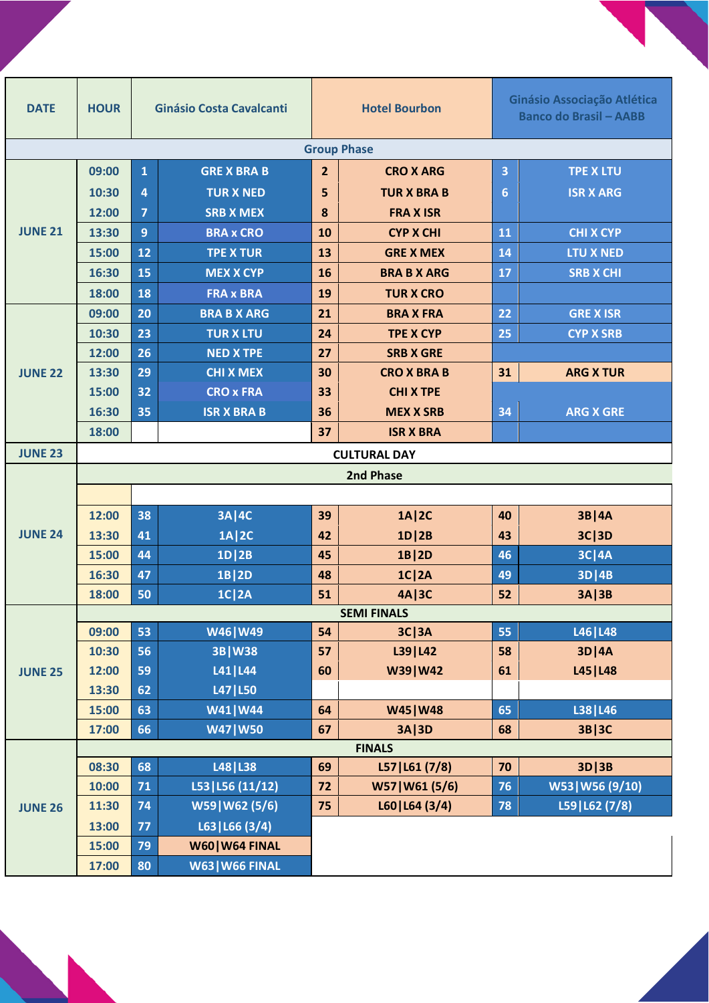| <b>DATE</b>        | <b>HOUR</b> |                | <b>Ginásio Costa Cavalcanti</b> |                | <b>Hotel Bourbon</b>            |    |                                 | Ginásio Associação Atlética<br><b>Banco do Brasil - AABB</b> |  |  |
|--------------------|-------------|----------------|---------------------------------|----------------|---------------------------------|----|---------------------------------|--------------------------------------------------------------|--|--|
| <b>Group Phase</b> |             |                |                                 |                |                                 |    |                                 |                                                              |  |  |
|                    | 09:00       | $\mathbf{1}$   | <b>GRE X BRA B</b>              | $\overline{2}$ | <b>CRO X ARG</b>                | 3  | <b>TPE X LTU</b>                |                                                              |  |  |
|                    | 10:30       | $\overline{4}$ | <b>TUR X NED</b>                | 5              | <b>TUR X BRA B</b>              | 6  | <b>ISR X ARG</b>                |                                                              |  |  |
|                    | 12:00       | $\overline{7}$ | <b>SRB X MEX</b>                | 8              | <b>FRAX ISR</b>                 |    |                                 |                                                              |  |  |
| <b>JUNE 21</b>     | 13:30       | $\overline{9}$ | <b>BRA x CRO</b>                | 10             | <b>CYP X CHI</b>                | 11 | <b>CHI X CYP</b>                |                                                              |  |  |
|                    | 15:00       | 12             | <b>TPE X TUR</b>                | 13             | <b>GRE X MEX</b>                | 14 | <b>LTU X NED</b>                |                                                              |  |  |
|                    | 16:30       | 15             | <b>MEX X CYP</b>                | 16             | <b>BRA B X ARG</b>              | 17 | <b>SRB X CHI</b>                |                                                              |  |  |
|                    | 18:00       | 18             | <b>FRA x BRA</b>                | 19             | <b>TUR X CRO</b>                |    |                                 |                                                              |  |  |
|                    | 09:00       | 20             | <b>BRA B X ARG</b>              | 21             | <b>BRAX FRA</b>                 | 22 | <b>GRE X ISR</b>                |                                                              |  |  |
|                    | 10:30       | 23             | <b>TUR X LTU</b>                | 24             | <b>TPE X CYP</b>                | 25 | <b>CYP X SRB</b>                |                                                              |  |  |
|                    | 12:00       | 26             | <b>NED X TPE</b>                | 27             | <b>SRB X GRE</b>                |    |                                 |                                                              |  |  |
| <b>JUNE 22</b>     | 13:30       | 29             | <b>CHI X MEX</b>                | 30             | <b>CRO X BRA B</b>              | 31 | <b>ARG X TUR</b>                |                                                              |  |  |
|                    | 15:00       | 32             | <b>CRO x FRA</b>                | 33             | <b>CHI X TPE</b>                |    |                                 |                                                              |  |  |
|                    | 16:30       | 35             | <b>ISR X BRA B</b>              | 36             | <b>MEX X SRB</b>                | 34 | <b>ARG X GRE</b>                |                                                              |  |  |
|                    | 18:00       |                |                                 | 37             | <b>ISR X BRA</b>                |    |                                 |                                                              |  |  |
| <b>JUNE 23</b>     |             |                |                                 |                | <b>CULTURAL DAY</b>             |    |                                 |                                                              |  |  |
|                    | 2nd Phase   |                |                                 |                |                                 |    |                                 |                                                              |  |  |
|                    |             |                |                                 |                |                                 |    |                                 |                                                              |  |  |
|                    | 12:00       | 38             | <b>3A   4C</b>                  | 39             | 1A   2C                         | 40 | 3B   4A                         |                                                              |  |  |
| <b>JUNE 24</b>     | 13:30       | 41             | 1A   2C                         | 42             | 1D/2B                           | 43 | 3C 3D                           |                                                              |  |  |
|                    | 15:00       | 44             | $1D$  2B                        | 45             | $1B$  2D                        | 46 | $3C$  4A                        |                                                              |  |  |
|                    | 16:30       | 47             | 1B   2D                         | 48             | $1C$   2A                       | 49 | $3D$  4B                        |                                                              |  |  |
|                    | 18:00       | 50             | <b>1C 2A</b>                    | 51             | 4A   3C                         | 52 | 3A   3B                         |                                                              |  |  |
|                    |             |                |                                 |                | <b>SEMI FINALS</b>              |    |                                 |                                                              |  |  |
|                    | 09:00       | 53             | W46   W49                       | 54             | $3C$   $3A$                     | 55 | L46   L48                       |                                                              |  |  |
|                    | 10:30       | 56             | 3B   W38                        | 57             | L39   L42                       | 58 | $3D$  4A                        |                                                              |  |  |
| <b>JUNE 25</b>     | 12:00       | 59             | L41   L44                       | 60             | W39   W42                       | 61 | L45   L48                       |                                                              |  |  |
|                    | 13:30       | 62             | L47   L50                       |                |                                 |    |                                 |                                                              |  |  |
|                    | 15:00       | 63             | W41   W44                       | 64             | W45   W48                       | 65 | L38   L46                       |                                                              |  |  |
|                    | 17:00       | 66             | <b>W47   W50</b>                | 67             | 3A   3D                         | 68 | 3B 3C                           |                                                              |  |  |
|                    | 08:30       | 68             | L48   L38                       | 69             | <b>FINALS</b>                   | 70 |                                 |                                                              |  |  |
|                    | 10:00       | 71             | L53   L56 (11/12)               | 72             | L57 L61(7/8)<br>W57   W61 (5/6) | 76 | $3D$   $3B$<br>W53   W56 (9/10) |                                                              |  |  |
|                    | 11:30       | 74             | W59   W62 (5/6)                 | 75             | L60 L64(3/4)                    | 78 | L59   L62 (7/8)                 |                                                              |  |  |
| <b>JUNE 26</b>     | 13:00       | 77             | L63 L66(3/4)                    |                |                                 |    |                                 |                                                              |  |  |
|                    | 15:00       | 79             | W60   W64 FINAL                 |                |                                 |    |                                 |                                                              |  |  |
|                    | 17:00       | 80             | <b>W63   W66 FINAL</b>          |                |                                 |    |                                 |                                                              |  |  |
|                    |             |                |                                 |                |                                 |    |                                 |                                                              |  |  |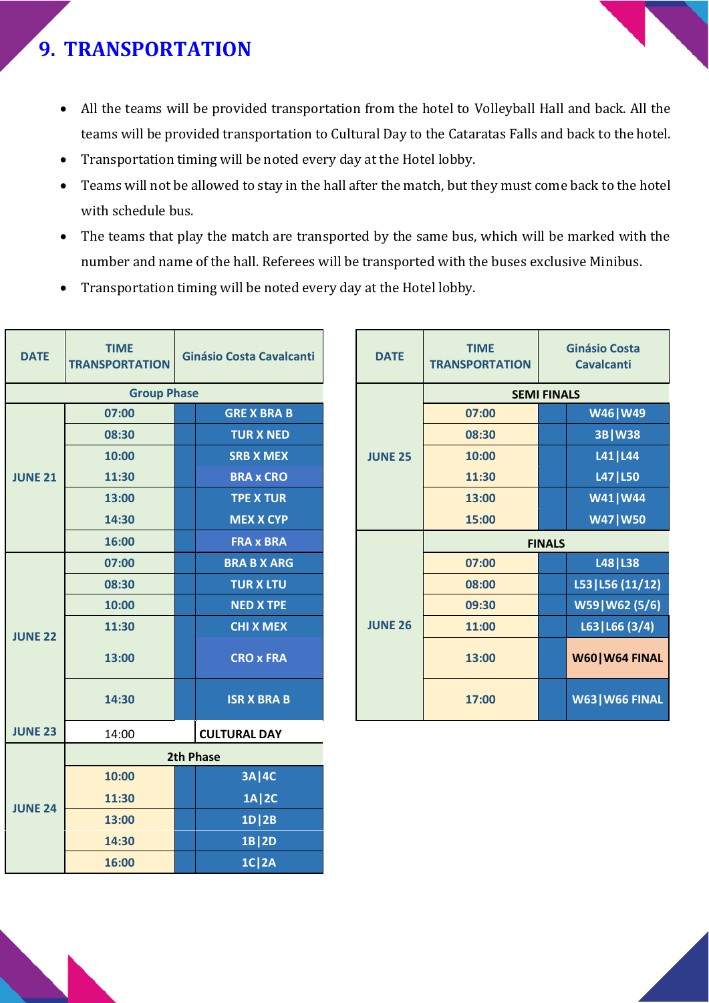# **9. TRANSPORTATION**

- All the teams will be provided transportation from the hotel to Volleyball Hall and back. All the teams will be provided transportation to Cultural Day to the Cataratas Falls and back to the hotel.
- Transportation timing will be noted every day at the Hotel lobby.
- Teams will not be allowed to stay in the hall after the match, but they must come back to the hotel with schedule bus.
- The teams that play the match are transported by the same bus, which will be marked with the number and name of the hall. Referees will be transported with the buses exclusive Minibus.
- Transportation timing will be noted every day at the Hotel lobby.

| <b>DATE</b>        | <b>TIME</b><br><b>TRANSPORTATION</b> |  | Ginásio Costa Cavalcanti             |  | <b>DATE</b>    | <b>TIME</b><br><b>TRANSPORT</b> |
|--------------------|--------------------------------------|--|--------------------------------------|--|----------------|---------------------------------|
| <b>Group Phase</b> |                                      |  |                                      |  |                |                                 |
|                    | 07:00                                |  | <b>GRE X BRA B</b>                   |  |                | 07:00                           |
|                    | 08:30                                |  | <b>TUR X NED</b>                     |  |                | 08:30                           |
|                    | 10:00                                |  | <b>SRB X MEX</b>                     |  | <b>JUNE 25</b> | 10:00                           |
| <b>JUNE 21</b>     | 11:30                                |  | <b>BRA x CRO</b>                     |  |                | 11:30                           |
|                    | 13:00                                |  | <b>TPE X TUR</b>                     |  |                | 13:00                           |
|                    | 14:30                                |  | <b>MEX X CYP</b>                     |  |                | 15:00                           |
|                    | 16:00                                |  | <b>FRA x BRA</b>                     |  |                |                                 |
|                    | 07:00                                |  | <b>BRA B X ARG</b>                   |  |                | 07:00                           |
| <b>JUNE 22</b>     | 08:30                                |  | <b>TUR X LTU</b>                     |  |                | 08:00                           |
|                    | 10:00                                |  | <b>NED X TPE</b>                     |  | <b>JUNE 26</b> | 09:30                           |
|                    | 11:30                                |  | <b>CHI X MEX</b><br><b>CRO x FRA</b> |  |                | 11:00                           |
|                    | 13:00                                |  |                                      |  |                | 13:00                           |
|                    | 14:30                                |  | <b>ISR X BRA B</b>                   |  |                | 17:00                           |
| <b>JUNE 23</b>     | 14:00                                |  | <b>CULTURAL DAY</b>                  |  |                |                                 |
|                    |                                      |  | 2th Phase                            |  |                |                                 |
|                    | 10:00                                |  | 3A   4C                              |  |                |                                 |
|                    | 11:30                                |  | 1A   2C                              |  |                |                                 |
| <b>JUNE 24</b>     | 13:00                                |  | $1D$  2B                             |  |                |                                 |
|                    | 14:30                                |  | 1B 2D                                |  |                |                                 |
|                    | 16:00                                |  | $1C$  2A                             |  |                |                                 |

| <b>TIME</b><br><b>PORTATION</b> | <b>Ginásio Costa Cavalcanti</b> |                    | <b>TIME</b><br><b>DATE</b> |                | <b>TRANSPORTATION</b> | <b>Ginásio Costa</b><br><b>Cavalcanti</b> |                        |  |
|---------------------------------|---------------------------------|--------------------|----------------------------|----------------|-----------------------|-------------------------------------------|------------------------|--|
| <b>Group Phase</b>              |                                 |                    |                            |                |                       | <b>SEMI FINALS</b>                        |                        |  |
| 07:00                           |                                 | <b>GRE X BRA B</b> |                            |                | 07:00                 |                                           | W46   W49              |  |
| 08:30                           |                                 | <b>TUR X NED</b>   |                            |                | 08:30                 |                                           | 3B   W38               |  |
| 10:00                           |                                 | <b>SRB X MEX</b>   |                            | <b>JUNE 25</b> | 10:00                 |                                           | L41   L44              |  |
| 11:30                           |                                 | <b>BRA x CRO</b>   |                            |                | 11:30                 |                                           | L47   L50              |  |
| 13:00                           |                                 | <b>TPE X TUR</b>   |                            |                | 13:00                 |                                           | W41 W44                |  |
| 14:30                           |                                 | <b>MEX X CYP</b>   |                            |                | 15:00                 |                                           | <b>W47   W50</b>       |  |
| 16:00                           |                                 | <b>FRA x BRA</b>   |                            |                |                       | <b>FINALS</b>                             |                        |  |
| 07:00                           |                                 | <b>BRA B X ARG</b> |                            |                | 07:00                 |                                           | L48   L38              |  |
| 08:30                           |                                 | <b>TUR X LTU</b>   |                            |                | 08:00                 |                                           | L53 L56(11/12)         |  |
| 10:00                           |                                 | <b>NED X TPE</b>   |                            |                | 09:30                 |                                           | W59   W62 (5/6)        |  |
| 11:30                           |                                 | <b>CHI X MEX</b>   |                            | <b>JUNE 26</b> | 11:00                 |                                           | L63 L66(3/4)           |  |
| 13:00                           |                                 | <b>CRO x FRA</b>   |                            |                | 13:00                 |                                           | W60   W64 FINAL        |  |
| 14:30                           |                                 | <b>ISR X BRA B</b> |                            |                | 17:00                 |                                           | <b>W63   W66 FINAL</b> |  |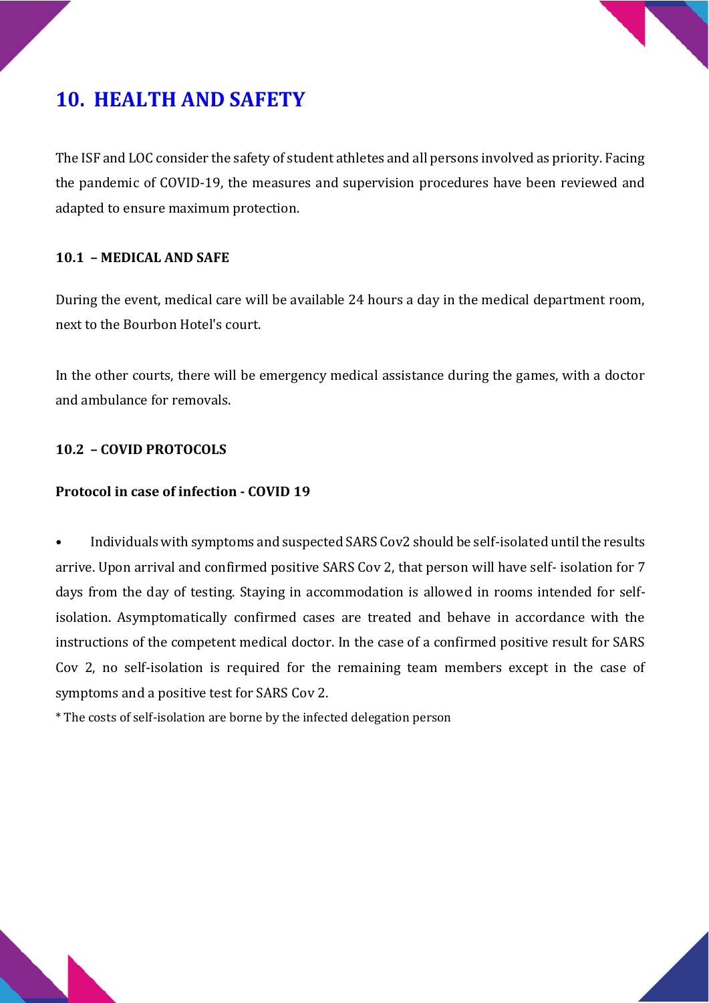

# **10. HEALTH AND SAFETY**

The ISF and LOC consider the safety of student athletes and all persons involved as priority. Facing the pandemic of COVID-19, the measures and supervision procedures have been reviewed and adapted to ensure maximum protection.

#### **10.1 – MEDICAL AND SAFE**

During the event, medical care will be available 24 hours a day in the medical department room, next to the Bourbon Hotel's court.

In the other courts, there will be emergency medical assistance during the games, with a doctor and ambulance for removals.

#### **10.2 – COVID PROTOCOLS**

#### **Protocol in case of infection - COVID 19**

• Individuals with symptoms and suspected SARS Cov2 should be self-isolated until the results arrive. Upon arrival and confirmed positive SARS Cov 2, that person will have self- isolation for 7 days from the day of testing. Staying in accommodation is allowed in rooms intended for selfisolation. Asymptomatically confirmed cases are treated and behave in accordance with the instructions of the competent medical doctor. In the case of a confirmed positive result for SARS Cov 2, no self-isolation is required for the remaining team members except in the case of symptoms and a positive test for SARS Cov 2.

\* The costs of self-isolation are borne by the infected delegation person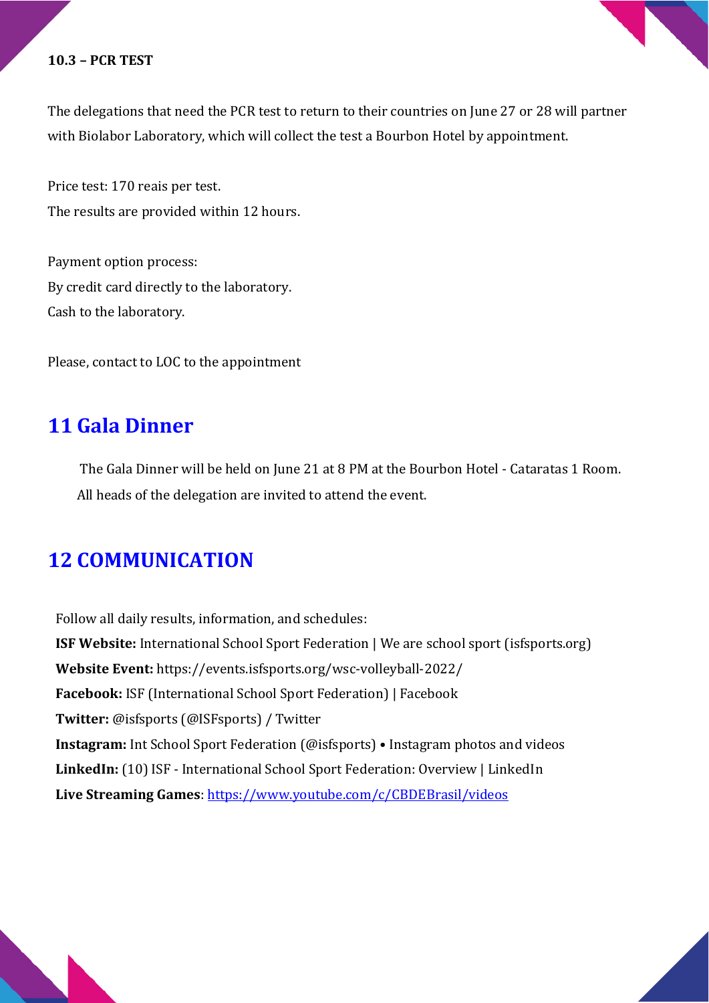#### **10.3 – PCR TEST**

The delegations that need the PCR test to return to their countries on June 27 or 28 will partner with Biolabor Laboratory, which will collect the test a Bourbon Hotel by appointment.

Price test: 170 reais per test. The results are provided within 12 hours.

Payment option process: By credit card directly to the laboratory. Cash to the laboratory.

Please, contact to LOC to the appointment

### **11 Gala Dinner**

The Gala Dinner will be held on June 21 at 8 PM at the Bourbon Hotel - Cataratas 1 Room. All heads of the delegation are invited to attend the event.

## **12 COMMUNICATION**

Follow all daily results, information, and schedules: **ISF Website:** International School Sport Federation | We are school sport (isfsports.org) **Website Event:** https://events.isfsports.org/wsc-volleyball-2022/ **Facebook:** ISF (International School Sport Federation) | Facebook **Twitter:** @isfsports (@ISFsports) / Twitter **Instagram:** Int School Sport Federation (@isfsports) • Instagram photos and videos **LinkedIn:** (10) ISF - International School Sport Federation: Overview | LinkedIn **Live Streaming Games**:<https://www.youtube.com/c/CBDEBrasil/videos>